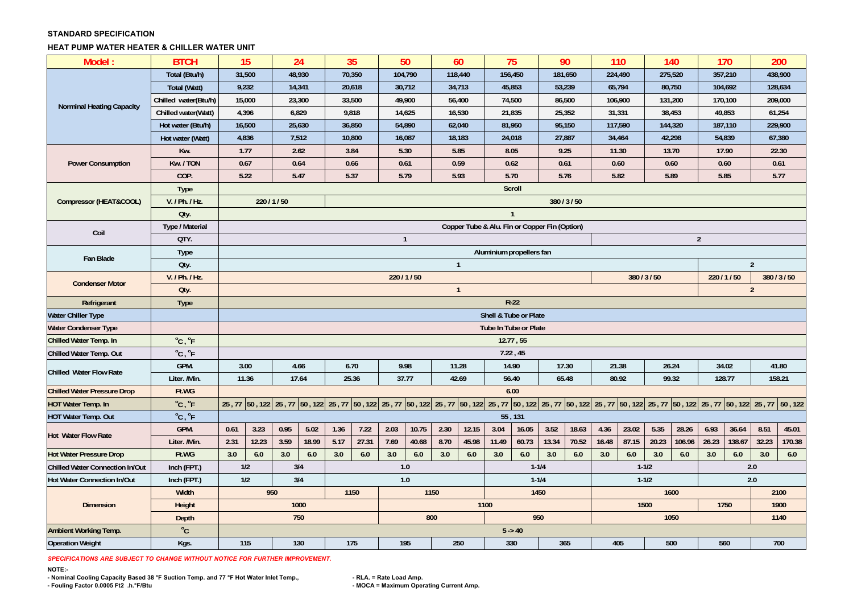## **STANDARD SPECIFICATION**

## **HEAT PUMP WATER HEATER & CHILLER WATER UNIT**

| Model:                                      | <b>BTCH</b>                | 15                                            |                                                                               |        | 24     | 35     |       |      | 50      | 60             |        | 75               |                              | 90      |              | 110     |           | 140     |        |         | 170                                                                                                                                                                                                                             | 200            |        |
|---------------------------------------------|----------------------------|-----------------------------------------------|-------------------------------------------------------------------------------|--------|--------|--------|-------|------|---------|----------------|--------|------------------|------------------------------|---------|--------------|---------|-----------|---------|--------|---------|---------------------------------------------------------------------------------------------------------------------------------------------------------------------------------------------------------------------------------|----------------|--------|
|                                             | Total (Btu/h)              | 31,500                                        |                                                                               |        | 48,930 | 70,350 |       |      | 104,790 | 118,440        |        | 156,450          |                              | 181,650 |              | 224,490 |           | 275,520 |        | 357,210 |                                                                                                                                                                                                                                 | 438,900        |        |
| <b>Norminal Heating Capacity</b>            | Total (Watt)               | 9,232                                         |                                                                               | 14,341 |        | 20,618 |       |      | 30,712  | 34,713         |        | 45,853           |                              | 53,239  |              | 65,794  |           | 80,750  |        |         | 104,692                                                                                                                                                                                                                         | 128,634        |        |
|                                             | Chilled water(Btu/h)       | 15,000                                        |                                                                               |        | 23,300 | 33,500 |       |      | 49,900  |                | 56,400 | 74,500           |                              | 86,500  |              | 106,900 |           | 131,200 |        |         | 170,100                                                                                                                                                                                                                         | 209,000        |        |
|                                             | Chilled water(Watt)        |                                               | 4,396                                                                         | 6,829  |        | 9,818  |       |      | 14,625  |                | 16,530 | 21,835           |                              | 25,352  |              | 31,331  |           | 38,453  |        |         | 49,853                                                                                                                                                                                                                          | 61,254         |        |
|                                             | Hot water (Btu/h)          | 16,500                                        |                                                                               | 25,630 |        | 36,850 |       |      | 54,890  |                | 62,040 | 81,950           |                              | 95,150  |              | 117,590 |           | 144,320 |        |         | 187,110                                                                                                                                                                                                                         | 229,900        |        |
|                                             | Hot water (Watt)           | 4,836                                         |                                                                               | 7,512  |        | 10,800 |       |      | 16,087  | 18,183         |        | 24,018           |                              | 27,887  |              | 34,464  |           | 42,298  |        |         | 54,839                                                                                                                                                                                                                          | 67,380         |        |
|                                             | Kw.                        | 1.77                                          |                                                                               |        | 2.62   | 3.84   |       |      | 5.30    | 5.85           |        | 8.05             |                              | 9.25    |              | 11.30   |           | 13.70   |        |         | 17.90                                                                                                                                                                                                                           | 22.30          |        |
| <b>Power Consumption</b>                    | Kw. / TON                  | 0.67                                          |                                                                               | 0.64   |        | 0.66   |       |      | 0.61    | 0.59           |        | 0.62             |                              | 0.61    |              | 0.60    |           | 0.60    |        |         | 0.60                                                                                                                                                                                                                            | 0.61           |        |
| Compressor (HEAT&COOL)                      | COP.                       | 5.22                                          |                                                                               |        | 5.47   | 5.37   |       |      | 5.79    | 5.93           |        | 5.70             |                              | 5.76    |              | 5.82    |           | 5.89    |        |         | 5.85                                                                                                                                                                                                                            | 5.77           |        |
|                                             | <b>Type</b>                |                                               | Scroll                                                                        |        |        |        |       |      |         |                |        |                  |                              |         |              |         |           |         |        |         |                                                                                                                                                                                                                                 |                |        |
|                                             | V. / Ph. / Hz.             |                                               | 220/1/50<br>380 / 3 / 50                                                      |        |        |        |       |      |         |                |        |                  |                              |         |              |         |           |         |        |         |                                                                                                                                                                                                                                 |                |        |
|                                             | Qty.                       | $\overline{1}$                                |                                                                               |        |        |        |       |      |         |                |        |                  |                              |         |              |         |           |         |        |         |                                                                                                                                                                                                                                 |                |        |
| Coil<br>Fan Blade<br><b>Condenser Motor</b> | Type / Material            | Copper Tube & Alu. Fin or Copper Fin (Option) |                                                                               |        |        |        |       |      |         |                |        |                  |                              |         |              |         |           |         |        |         |                                                                                                                                                                                                                                 |                |        |
|                                             | QTY.                       | $\mathbf{1}$<br>$\overline{2}$                |                                                                               |        |        |        |       |      |         |                |        |                  |                              |         |              |         |           |         |        |         |                                                                                                                                                                                                                                 |                |        |
|                                             | <b>Type</b>                | Aluminium propellers fan                      |                                                                               |        |        |        |       |      |         |                |        |                  |                              |         |              |         |           |         |        |         |                                                                                                                                                                                                                                 |                |        |
|                                             | Oty.                       | $\overline{1}$<br>$\overline{2}$              |                                                                               |        |        |        |       |      |         |                |        |                  |                              |         |              |         |           |         |        |         |                                                                                                                                                                                                                                 |                |        |
|                                             | V. / Ph. / Hz.             |                                               | 220/1/50<br>380/3/50<br>220/1/50                                              |        |        |        |       |      |         |                |        |                  |                              |         | 380 / 3 / 50 |         |           |         |        |         |                                                                                                                                                                                                                                 |                |        |
|                                             | Oty.                       |                                               |                                                                               |        |        |        |       |      |         | $\overline{1}$ |        |                  |                              |         |              |         |           |         |        |         |                                                                                                                                                                                                                                 | $\overline{2}$ |        |
| Refrigerant                                 | Type                       |                                               | $R-22$                                                                        |        |        |        |       |      |         |                |        |                  |                              |         |              |         |           |         |        |         |                                                                                                                                                                                                                                 |                |        |
| <b>Water Chiller Type</b>                   |                            |                                               | Shell & Tube or Plate                                                         |        |        |        |       |      |         |                |        |                  |                              |         |              |         |           |         |        |         |                                                                                                                                                                                                                                 |                |        |
| <b>Water Condenser Type</b>                 |                            |                                               |                                                                               |        |        |        |       |      |         |                |        |                  | <b>Tube In Tube or Plate</b> |         |              |         |           |         |        |         |                                                                                                                                                                                                                                 |                |        |
| Chilled Water Temp. In                      | $^{\circ}$ C, $^{\circ}$ F |                                               |                                                                               |        |        |        |       |      |         |                |        |                  | 12.77, 55                    |         |              |         |           |         |        |         |                                                                                                                                                                                                                                 |                |        |
| Chilled Water Temp. Out                     | $^{\circ}$ C, $^{\circ}$ F |                                               |                                                                               |        |        |        |       |      |         |                |        | 7.22, 45         |                              |         |              |         |           |         |        |         |                                                                                                                                                                                                                                 |                |        |
| <b>Chilled Water Flow Rate</b>              | GPM.                       | 3.00<br>4.66                                  |                                                                               |        | 6.70   |        |       | 9.98 | 11.28   |                | 14.90  |                  | 17.30                        |         | 21.38        |         | 26.24     |         | 34.02  |         | 41.80                                                                                                                                                                                                                           |                |        |
|                                             | Liter. /Min.               |                                               | 11.36<br>37.77<br>80.92<br>99.32<br>17.64<br>25.36<br>42.69<br>56.40<br>65.48 |        |        |        |       |      |         |                |        | 128.77<br>158.21 |                              |         |              |         |           |         |        |         |                                                                                                                                                                                                                                 |                |        |
| <b>Chilled Water Pressure Drop</b>          | Ft.WG                      |                                               |                                                                               |        |        |        |       |      |         |                |        |                  | 6.00                         |         |              |         |           |         |        |         |                                                                                                                                                                                                                                 |                |        |
| <b>HOT Water Temp. In</b>                   | $^{\circ}$ C, $^{\circ}$ F |                                               |                                                                               |        |        |        |       |      |         |                |        |                  |                              |         |              |         |           |         |        |         | 25 , 70 50 , 122 (25 , 70 50 , 122 (25 , 70 50 , 122 (25 , 70 50 , 122 (25 , 70 50 , 122 (25 , 77 50 , 122 (25 , 77 50 , 122 (25 , 77 50 , 122 (25 , 77 50 , 122 (25 , 77 50 , 122 (25 , 77 50 , 122 (25 , 77 50 , 122 (25 , 77 |                |        |
| <b>HOT Water Temp. Out</b>                  |                            |                                               |                                                                               |        |        |        |       |      |         |                |        |                  | 55, 131                      |         |              |         |           |         |        |         |                                                                                                                                                                                                                                 |                |        |
|                                             | $^{\circ}$ C, $^{\circ}$ F |                                               |                                                                               |        |        |        |       |      |         |                |        |                  |                              |         |              |         |           |         |        |         |                                                                                                                                                                                                                                 |                | 45.01  |
|                                             | GPM.                       | 0.61                                          | 3.23                                                                          | 0.95   | 5.02   | 1.36   | 7.22  | 2.03 | 10.75   | 2.30           | 12.15  | 3.04             | 16.05                        | 3.52    | 18.63        | 4.36    | 23.02     | 5.35    | 28.26  | 6.93    | 36.64                                                                                                                                                                                                                           | 8.51           |        |
| <b>Hot Water Flow Rate</b>                  | Liter. /Min.               | 2.31                                          | 12.23                                                                         | 3.59   | 18.99  | 5.17   | 27.31 | 7.69 | 40.68   | 8.70           | 45.98  | 11.49            | 60.73                        | 13.34   | 70.52        | 16.48   | 87.15     | 20.23   | 106.96 | 26.23   | 138.67                                                                                                                                                                                                                          | 32.23          | 170.38 |
| <b>Hot Water Pressure Drop</b>              | Ft.WG                      | 3.0                                           | 6.0                                                                           | 3.0    | 6.0    | 3.0    | 6.0   | 3.0  | 6.0     | 3.0            | 6.0    | 3.0              | 6.0                          | 3.0     | 6.0          | 3.0     | 6.0       | 3.0     | 6.0    | 3.0     | 6.0                                                                                                                                                                                                                             | 3.0            | 6.0    |
| <b>Chilled Water Connection In/Out</b>      | Inch (FPT.)                | 1/2                                           |                                                                               |        | 3/4    |        |       |      | 1.0     |                |        |                  | $1 - 1/4$                    |         |              |         | $1 - 1/2$ |         |        |         | 2.0                                                                                                                                                                                                                             |                |        |
| Hot Water Connection In/Out                 | Inch (FPT.)                | 1/2                                           |                                                                               |        | 3/4    |        |       | 1.0  |         |                |        |                  | $1 - 1/4$                    |         |              |         | $1 - 1/2$ |         |        |         | 2.0                                                                                                                                                                                                                             |                |        |
|                                             | Width                      |                                               | 950                                                                           |        |        | 1150   |       |      | 1150    |                |        |                  | 1450                         |         |              |         |           | 1600    |        |         |                                                                                                                                                                                                                                 | 2100           |        |
| <b>Dimension</b>                            | Height                     |                                               |                                                                               |        | 1000   |        |       |      |         |                | 1100   |                  |                              |         |              |         | 1500      |         |        |         | 1750                                                                                                                                                                                                                            | 1900           |        |
|                                             | Depth                      |                                               |                                                                               | 750    |        |        |       |      | 800     |                |        |                  | 950                          |         |              |         |           | 1050    |        |         |                                                                                                                                                                                                                                 | 1140           |        |
| <b>Ambient Working Temp.</b>                | $^{\circ}$ C               |                                               |                                                                               |        |        |        |       |      |         |                |        |                  | $5 - 40$                     |         |              |         |           |         |        |         |                                                                                                                                                                                                                                 |                |        |

*SPECIFICATIONS ARE SUBJECT TO CHANGE WITHOUT NOTICE FOR FURTHER IMPROVEMENT.*